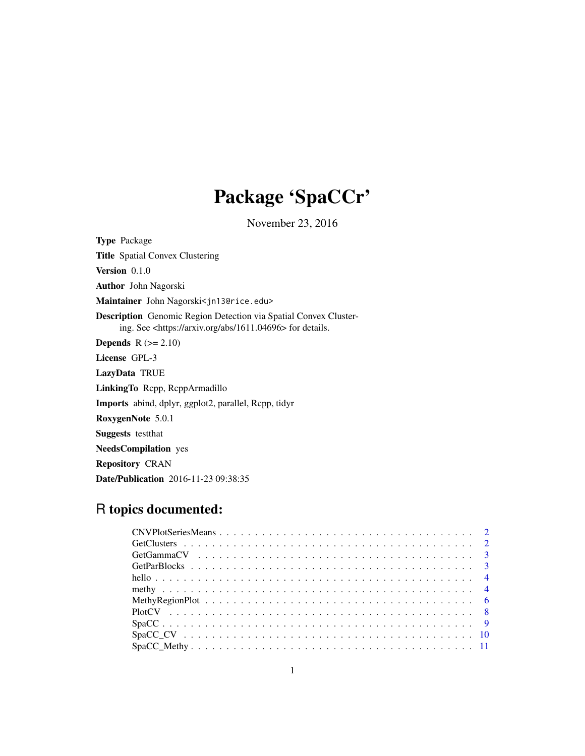## Package 'SpaCCr'

November 23, 2016

Type Package Title Spatial Convex Clustering Version 0.1.0 Author John Nagorski Maintainer John Nagorski<jn13@rice.edu> Description Genomic Region Detection via Spatial Convex Clustering. See <https://arxiv.org/abs/1611.04696> for details. **Depends**  $R$  ( $>= 2.10$ ) License GPL-3 LazyData TRUE LinkingTo Rcpp, RcppArmadillo Imports abind, dplyr, ggplot2, parallel, Rcpp, tidyr RoxygenNote 5.0.1 Suggests testthat NeedsCompilation yes Repository CRAN Date/Publication 2016-11-23 09:38:35

## R topics documented: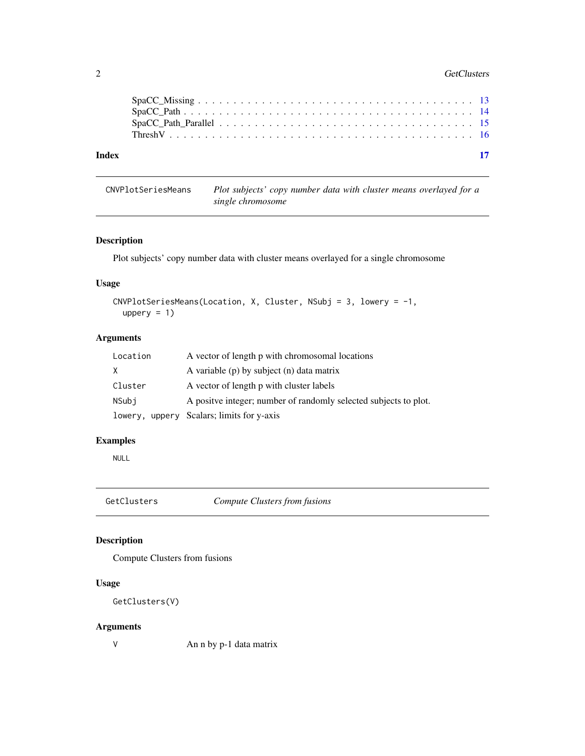#### <span id="page-1-0"></span>2 GetClusters and the contract of the contract of the contract of the contract of the contract of the contract of the contract of the contract of the contract of the contract of the contract of the contract of the contract

| Index |                                                                                                                | - 17 |
|-------|----------------------------------------------------------------------------------------------------------------|------|
|       |                                                                                                                |      |
|       |                                                                                                                |      |
|       |                                                                                                                |      |
|       | $SpaCC\_Missing \ldots \ldots \ldots \ldots \ldots \ldots \ldots \ldots \ldots \ldots \ldots \ldots \ldots 13$ |      |

### CNVPlotSeriesMeans *Plot subjects' copy number data with cluster means overlayed for a single chromosome*

#### Description

Plot subjects' copy number data with cluster means overlayed for a single chromosome

#### Usage

```
CNVPlotSeriesMeans(Location, X, Cluster, NSubj = 3, lowery = -1,
 uppery = 1)
```
#### Arguments

| Location | A vector of length p with chromosomal locations                   |
|----------|-------------------------------------------------------------------|
| X.       | A variable $(p)$ by subject $(n)$ data matrix                     |
| Cluster  | A vector of length p with cluster labels                          |
| NSubi    | A positive integer; number of randomly selected subjects to plot. |
|          | lowery, uppery Scalars; limits for y-axis                         |

#### Examples

NULL

GetClusters *Compute Clusters from fusions*

#### Description

Compute Clusters from fusions

#### Usage

```
GetClusters(V)
```
#### Arguments

V An n by p-1 data matrix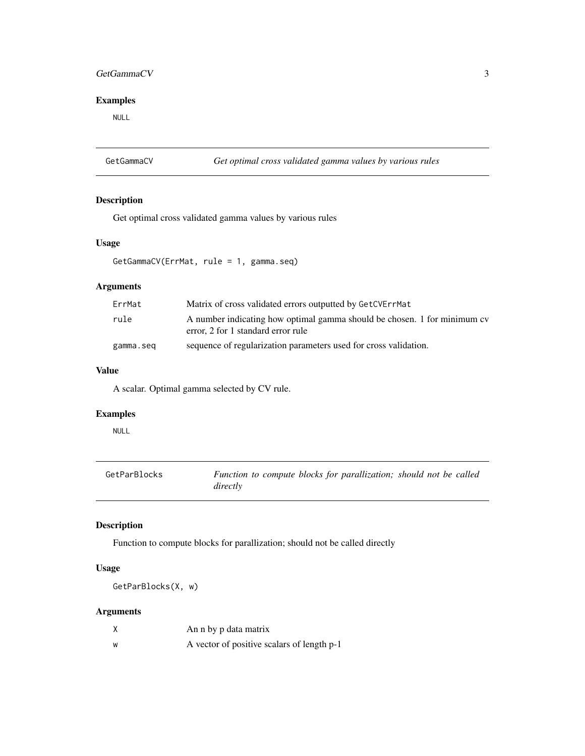#### <span id="page-2-0"></span>GetGammaCV 3

#### Examples

NULL

GetGammaCV *Get optimal cross validated gamma values by various rules*

#### Description

Get optimal cross validated gamma values by various rules

#### Usage

GetGammaCV(ErrMat, rule = 1, gamma.seq)

#### Arguments

| ErrMat    | Matrix of cross validated errors outputted by GetCVErrMat                                                      |
|-----------|----------------------------------------------------------------------------------------------------------------|
| rule      | A number indicating how optimal gamma should be chosen. 1 for minimum cv<br>error, 2 for 1 standard error rule |
| gamma.seq | sequence of regularization parameters used for cross validation.                                               |

#### Value

A scalar. Optimal gamma selected by CV rule.

#### Examples

NULL

| GetParBlocks | Function to compute blocks for parallization; should not be called |  |  |  |
|--------------|--------------------------------------------------------------------|--|--|--|
|              | directly                                                           |  |  |  |

#### Description

Function to compute blocks for parallization; should not be called directly

#### Usage

GetParBlocks(X, w)

#### Arguments

| X | An n by p data matrix                      |
|---|--------------------------------------------|
| W | A vector of positive scalars of length p-1 |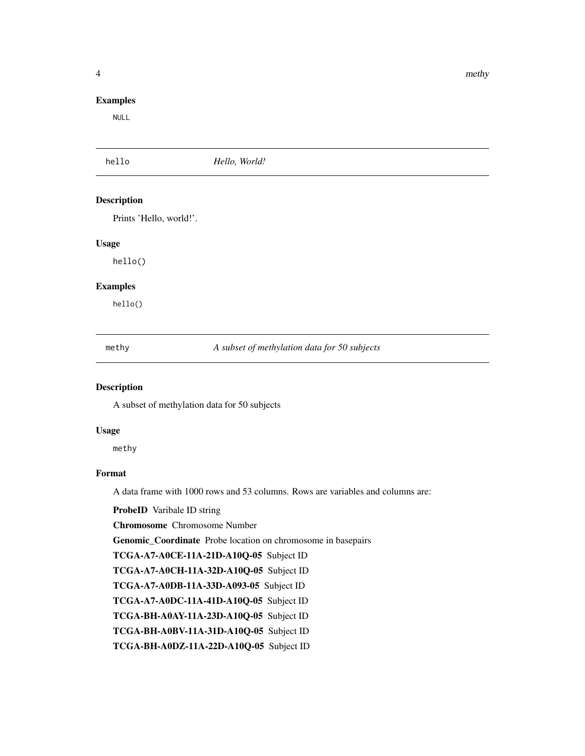<span id="page-3-0"></span>4 a set of the state of the state of the state of the state of the state of the state of the state of the state of the state of the state of the state of the state of the state of the state of the state of the state of the

#### Examples

NULL

| hello                   | Hello, World!                                |  |
|-------------------------|----------------------------------------------|--|
| <b>Description</b>      |                                              |  |
| Prints 'Hello, world!'. |                                              |  |
| <b>Usage</b>            |                                              |  |
| hello()                 |                                              |  |
| <b>Examples</b>         |                                              |  |
| hello()                 |                                              |  |
| methy                   | A subset of methylation data for 50 subjects |  |
| <b>Description</b>      |                                              |  |

A subset of methylation data for 50 subjects

#### Usage

methy

#### Format

A data frame with 1000 rows and 53 columns. Rows are variables and columns are:

ProbeID Varibale ID string

Chromosome Chromosome Number

Genomic\_Coordinate Probe location on chromosome in basepairs

TCGA-A7-A0CE-11A-21D-A10Q-05 Subject ID

TCGA-A7-A0CH-11A-32D-A10Q-05 Subject ID

TCGA-A7-A0DB-11A-33D-A093-05 Subject ID

TCGA-A7-A0DC-11A-41D-A10Q-05 Subject ID

TCGA-BH-A0AY-11A-23D-A10Q-05 Subject ID

TCGA-BH-A0BV-11A-31D-A10Q-05 Subject ID

TCGA-BH-A0DZ-11A-22D-A10Q-05 Subject ID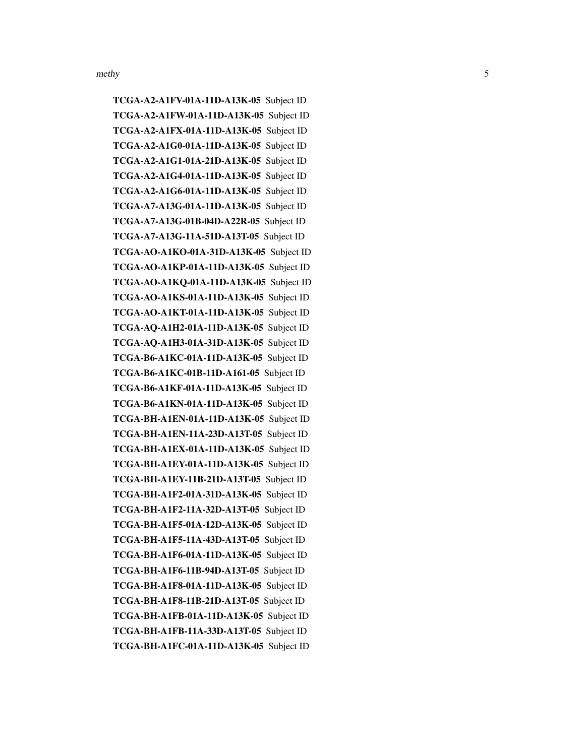TCGA-A2-A1FV-01A-11D-A13K-05 Subject ID TCGA-A2-A1FW-01A-11D-A13K-05 Subject ID TCGA-A2-A1FX-01A-11D-A13K-05 Subject ID TCGA-A2-A1G0-01A-11D-A13K-05 Subject ID TCGA-A2-A1G1-01A-21D-A13K-05 Subject ID TCGA-A2-A1G4-01A-11D-A13K-05 Subject ID TCGA-A2-A1G6-01A-11D-A13K-05 Subject ID TCGA-A7-A13G-01A-11D-A13K-05 Subject ID TCGA-A7-A13G-01B-04D-A22R-05 Subject ID TCGA-A7-A13G-11A-51D-A13T-05 Subject ID TCGA-AO-A1KO-01A-31D-A13K-05 Subject ID TCGA-AO-A1KP-01A-11D-A13K-05 Subject ID TCGA-AO-A1KQ-01A-11D-A13K-05 Subject ID TCGA-AO-A1KS-01A-11D-A13K-05 Subject ID TCGA-AO-A1KT-01A-11D-A13K-05 Subject ID TCGA-AQ-A1H2-01A-11D-A13K-05 Subject ID TCGA-AQ-A1H3-01A-31D-A13K-05 Subject ID TCGA-B6-A1KC-01A-11D-A13K-05 Subject ID TCGA-B6-A1KC-01B-11D-A161-05 Subject ID TCGA-B6-A1KF-01A-11D-A13K-05 Subject ID TCGA-B6-A1KN-01A-11D-A13K-05 Subject ID TCGA-BH-A1EN-01A-11D-A13K-05 Subject ID TCGA-BH-A1EN-11A-23D-A13T-05 Subject ID TCGA-BH-A1EX-01A-11D-A13K-05 Subject ID TCGA-BH-A1EY-01A-11D-A13K-05 Subject ID TCGA-BH-A1EY-11B-21D-A13T-05 Subject ID TCGA-BH-A1F2-01A-31D-A13K-05 Subject ID TCGA-BH-A1F2-11A-32D-A13T-05 Subject ID TCGA-BH-A1F5-01A-12D-A13K-05 Subject ID TCGA-BH-A1F5-11A-43D-A13T-05 Subject ID TCGA-BH-A1F6-01A-11D-A13K-05 Subject ID TCGA-BH-A1F6-11B-94D-A13T-05 Subject ID TCGA-BH-A1F8-01A-11D-A13K-05 Subject ID TCGA-BH-A1F8-11B-21D-A13T-05 Subject ID TCGA-BH-A1FB-01A-11D-A13K-05 Subject ID TCGA-BH-A1FB-11A-33D-A13T-05 Subject ID TCGA-BH-A1FC-01A-11D-A13K-05 Subject ID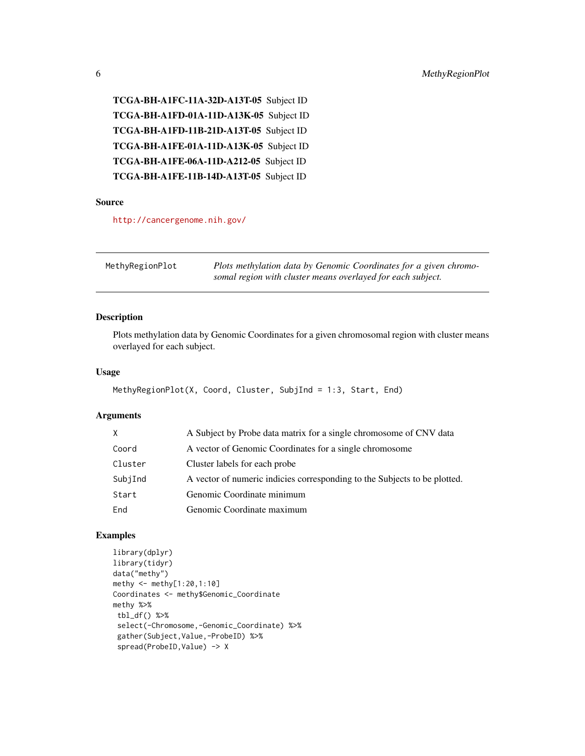<span id="page-5-0"></span>TCGA-BH-A1FC-11A-32D-A13T-05 Subject ID TCGA-BH-A1FD-01A-11D-A13K-05 Subject ID TCGA-BH-A1FD-11B-21D-A13T-05 Subject ID TCGA-BH-A1FE-01A-11D-A13K-05 Subject ID TCGA-BH-A1FE-06A-11D-A212-05 Subject ID TCGA-BH-A1FE-11B-14D-A13T-05 Subject ID

#### Source

<http://cancergenome.nih.gov/>

| MethyRegionPlot | Plots methylation data by Genomic Coordinates for a given chromo- |
|-----------------|-------------------------------------------------------------------|
|                 | somal region with cluster means overlayed for each subject.       |

#### Description

Plots methylation data by Genomic Coordinates for a given chromosomal region with cluster means overlayed for each subject.

#### Usage

```
MethyRegionPlot(X, Coord, Cluster, SubjInd = 1:3, Start, End)
```
#### Arguments

| X.      | A Subject by Probe data matrix for a single chromosome of CNV data        |
|---------|---------------------------------------------------------------------------|
| Coord   | A vector of Genomic Coordinates for a single chromosome                   |
| Cluster | Cluster labels for each probe.                                            |
| SubjInd | A vector of numeric indicies corresponding to the Subjects to be plotted. |
| Start   | Genomic Coordinate minimum                                                |
| End     | Genomic Coordinate maximum                                                |
|         |                                                                           |

```
library(dplyr)
library(tidyr)
data("methy")
methy <- methy[1:20,1:10]
Coordinates <- methy$Genomic_Coordinate
methy %>%
 tbl_df() %>%
 select(-Chromosome,-Genomic_Coordinate) %>%
 gather(Subject,Value,-ProbeID) %>%
 spread(ProbeID,Value) -> X
```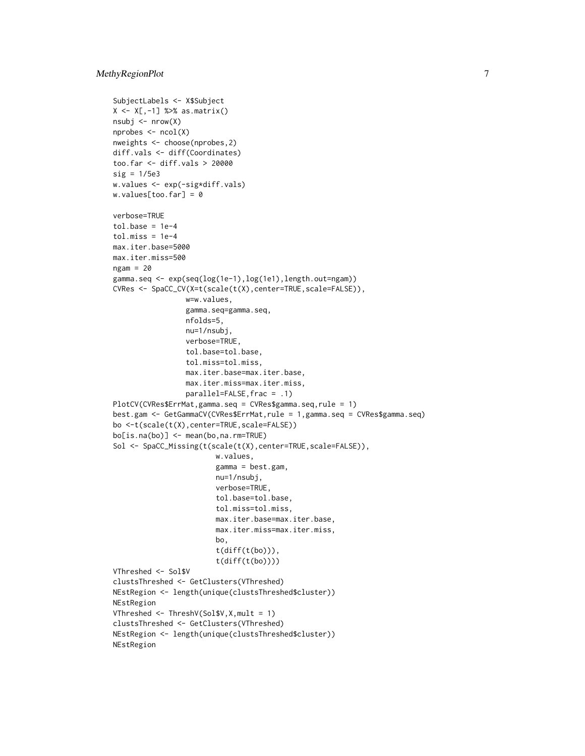```
SubjectLabels <- X$Subject
X \leftarrow X[, -1] %>% as.matrix()
nsubj <- nrow(X)
nprobes <- ncol(X)
nweights <- choose(nprobes,2)
diff.vals <- diff(Coordinates)
too.far <- diff.vals > 20000
sig = 1/5e3w.values <- exp(-sig*diff.vals)
w.values[too.far] = 0
verbose=TRUE
tol.\nbase = 1e-4tol.miss = 1e-4max.iter.base=5000
max.iter.miss=500
ngam = 20gamma.seq <- exp(seq(log(1e-1),log(1e1),length.out=ngam))
CVRes <- SpaCC_CV(X=t(scale(t(X),center=TRUE,scale=FALSE)),
                 w=w.values,
                 gamma.seq=gamma.seq,
                 nfolds=5,
                 nu=1/nsubj,
                 verbose=TRUE,
                 tol.base=tol.base,
                 tol.miss=tol.miss,
                 max.iter.base=max.iter.base,
                 max.iter.miss=max.iter.miss,
                 parallel=FALSE,frac = .1)
PlotCV(CVRes$ErrMat,gamma.seq = CVRes$gamma.seq,rule = 1)
best.gam <- GetGammaCV(CVRes$ErrMat,rule = 1,gamma.seq = CVRes$gamma.seq)
bo <-t(scale(t(X),center=TRUE,scale=FALSE))
bo[is.na(bo)] <- mean(bo,na.rm=TRUE)
Sol <- SpaCC_Missing(t(scale(t(X),center=TRUE,scale=FALSE)),
                        w.values,
                        gamma = best.gam,
                        nu=1/nsubj,
                        verbose=TRUE,
                        tol.base=tol.base,
                        tol.miss=tol.miss,
                        max.iter.base=max.iter.base,
                        max.iter.miss=max.iter.miss,
                        bo,
                        t(diff(t(bo))),
                        t(diff(t(bo))))
VThreshed <- Sol$V
clustsThreshed <- GetClusters(VThreshed)
NEstRegion <- length(unique(clustsThreshed$cluster))
NEstRegion
VThreshed <- ThreshV(Sol$V,X,mult = 1)
clustsThreshed <- GetClusters(VThreshed)
NEstRegion <- length(unique(clustsThreshed$cluster))
NEstRegion
```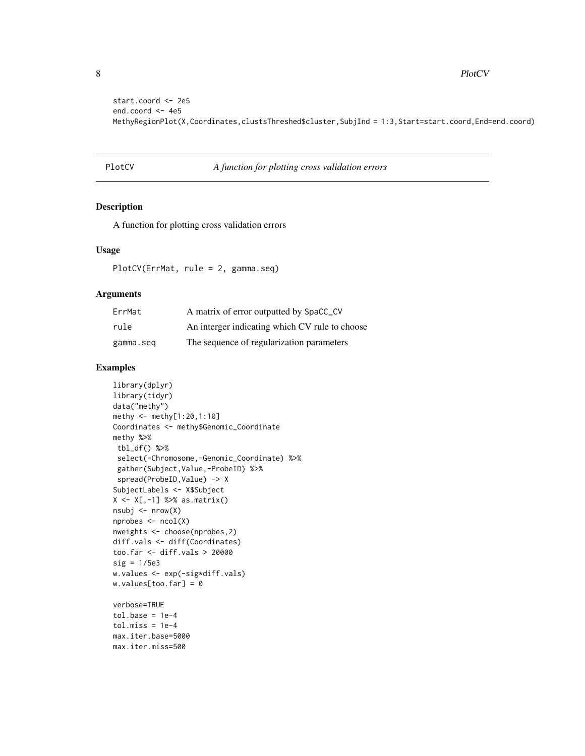<span id="page-7-0"></span>8 **8** PlotCV

```
start.coord <- 2e5
end.coord <- 4e5
MethyRegionPlot(X,Coordinates,clustsThreshed$cluster,SubjInd = 1:3,Start=start.coord,End=end.coord)
```
#### PlotCV *A function for plotting cross validation errors*

#### Description

A function for plotting cross validation errors

#### Usage

PlotCV(ErrMat, rule = 2, gamma.seq)

#### Arguments

| ErrMat    | A matrix of error outputted by SpaCC_CV        |
|-----------|------------------------------------------------|
| rule      | An interger indicating which CV rule to choose |
| gamma.seq | The sequence of regularization parameters      |

```
library(dplyr)
library(tidyr)
data("methy")
methy <- methy[1:20,1:10]
Coordinates <- methy$Genomic_Coordinate
methy %>%
tbl_df() %>%
 select(-Chromosome,-Genomic_Coordinate) %>%
 gather(Subject,Value,-ProbeID) %>%
 spread(ProbeID, Value) -> X
SubjectLabels <- X$Subject
X <- X[,-1] %>% as.matrix()
nsubj \leq -nrow(X)nprobes < -ncol(X)nweights <- choose(nprobes,2)
diff.vals <- diff(Coordinates)
too.far <- diff.vals > 20000
sig = 1/5e3
w.values <- exp(-sig*diff.vals)
w.values[too.far] = 0
verbose=TRUE
tol.\nbase = 1e-4tol.miss = 1e-4max.iter.base=5000
```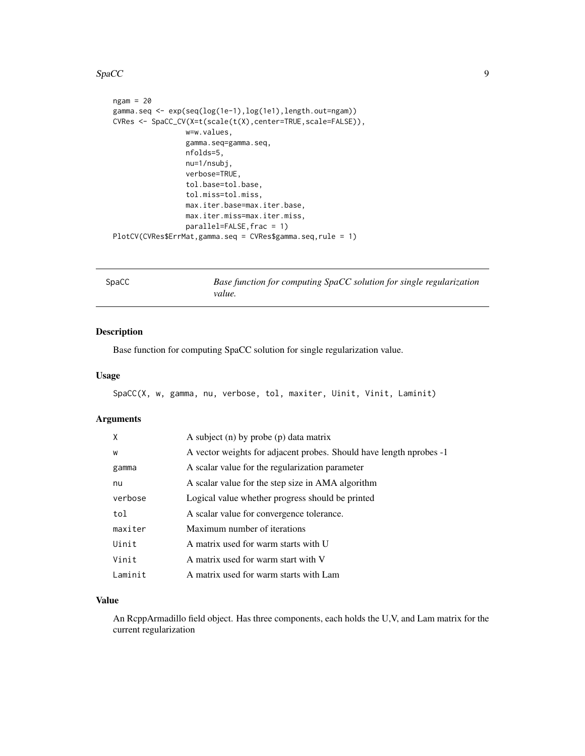#### <span id="page-8-0"></span> $SpaCC$  9

```
ngam = 20gamma.seq <- exp(seq(log(1e-1),log(1e1),length.out=ngam))
CVRes <- SpaCC_CV(X=t(scale(t(X),center=TRUE,scale=FALSE)),
                 w=w.values,
                 gamma.seq=gamma.seq,
                 nfolds=5,
                 nu=1/nsubj,
                 verbose=TRUE,
                 tol.base=tol.base,
                 tol.miss=tol.miss,
                 max.iter.base=max.iter.base,
                 max.iter.miss=max.iter.miss,
                 parallel=FALSE,frac = 1)
PlotCV(CVRes$ErrMat,gamma.seq = CVRes$gamma.seq,rule = 1)
```
SpaCC *Base function for computing SpaCC solution for single regularization value.*

#### Description

Base function for computing SpaCC solution for single regularization value.

#### Usage

SpaCC(X, w, gamma, nu, verbose, tol, maxiter, Uinit, Vinit, Laminit)

#### Arguments

| $\times$ | A subject $(n)$ by probe $(p)$ data matrix                          |
|----------|---------------------------------------------------------------------|
| W        | A vector weights for adjacent probes. Should have length nprobes -1 |
| gamma    | A scalar value for the regularization parameter                     |
| nu       | A scalar value for the step size in AMA algorithm                   |
| verbose  | Logical value whether progress should be printed                    |
| tol      | A scalar value for convergence tolerance.                           |
| maxiter  | Maximum number of iterations                                        |
| Uinit    | A matrix used for warm starts with U                                |
| Vinit    | A matrix used for warm start with V                                 |
| Laminit  | A matrix used for warm starts with Lam                              |

#### Value

An RcppArmadillo field object. Has three components, each holds the U,V, and Lam matrix for the current regularization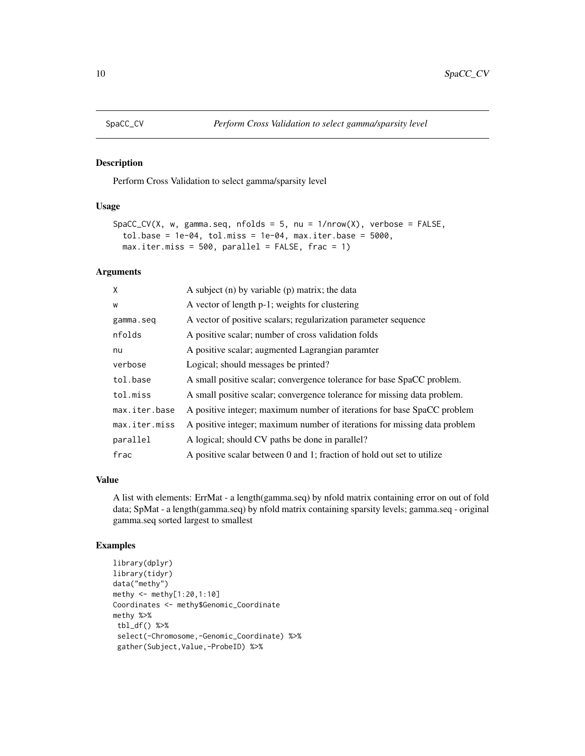<span id="page-9-0"></span>

#### Description

Perform Cross Validation to select gamma/sparsity level

#### Usage

```
SpaCC_CV(X, w, gamma.seq, nfolds = 5, nu = 1/nrow(X), verbose = FALSE,
  tol.\text{base} = 1e-04, tol.\text{miss} = 1e-04, max.iter.\text{base} = 5000,max.iter.miss = 500, parallel = FALSE, frac = 1)
```
#### Arguments

| X             | A subject $(n)$ by variable $(p)$ matrix; the data                        |
|---------------|---------------------------------------------------------------------------|
| W             | A vector of length p-1; weights for clustering                            |
| gamma.seq     | A vector of positive scalars; regularization parameter sequence           |
| nfolds        | A positive scalar; number of cross validation folds                       |
| nu            | A positive scalar; augmented Lagrangian paramter                          |
| verbose       | Logical; should messages be printed?                                      |
| tol.base      | A small positive scalar; convergence tolerance for base SpaCC problem.    |
| tol.miss      | A small positive scalar; convergence tolerance for missing data problem.  |
| max.iter.base | A positive integer; maximum number of iterations for base SpaCC problem   |
| max.iter.miss | A positive integer; maximum number of iterations for missing data problem |
| parallel      | A logical; should CV paths be done in parallel?                           |
| frac          | A positive scalar between 0 and 1; fraction of hold out set to utilize    |

#### Value

A list with elements: ErrMat - a length(gamma.seq) by nfold matrix containing error on out of fold data; SpMat - a length(gamma.seq) by nfold matrix containing sparsity levels; gamma.seq - original gamma.seq sorted largest to smallest

```
library(dplyr)
library(tidyr)
data("methy")
methy <- methy[1:20,1:10]
Coordinates <- methy$Genomic_Coordinate
methy %>%
 tbl_df() %>%
 select(-Chromosome,-Genomic_Coordinate) %>%
 gather(Subject,Value,-ProbeID) %>%
```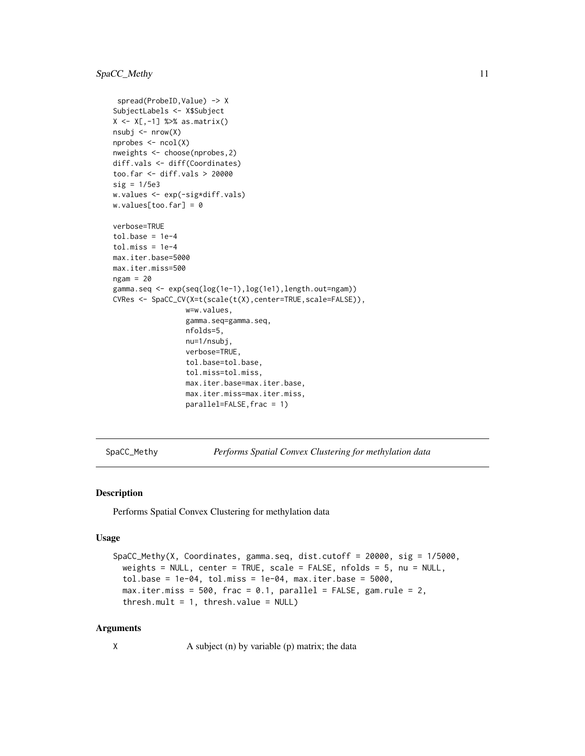```
spread(ProbeID,Value) -> X
SubjectLabels <- X$Subject
X <- X[,-1] %>% as.matrix()
nsubj < - nrow(X)nprobes <- ncol(X)
nweights <- choose(nprobes,2)
diff.vals <- diff(Coordinates)
too.far <- diff.vals > 20000
sig = 1/5e3w.values <- exp(-sig*diff.vals)
w.values[too.far] = 0
verbose=TRUE
tol.\text{base} = 1e-4tol.miss = 1e-4max.iter.base=5000
max.iter.miss=500
ngam = 20
gamma.seq <- exp(seq(log(1e-1),log(1e1),length.out=ngam))
CVRes <- SpaCC_CV(X=t(scale(t(X),center=TRUE,scale=FALSE)),
                 w=w.values,
                 gamma.seq=gamma.seq,
                 nfolds=5,
                 nu=1/nsubj,
                 verbose=TRUE,
                 tol.base=tol.base,
                 tol.miss=tol.miss,
                 max.iter.base=max.iter.base,
                 max.iter.miss=max.iter.miss,
                 parallel=FALSE,frac = 1)
```
SpaCC\_Methy *Performs Spatial Convex Clustering for methylation data*

#### Description

Performs Spatial Convex Clustering for methylation data

#### Usage

```
SpaCC_Methy(X, Coordinates, gamma.seq, dist.cutoff = 20000, sig = 1/5000,
  weights = NULL, center = TRUE, scale = FALSE, nfolds = 5, nu = NULL,
  tol.\text{base} = 1e-04, tol.\text{miss} = 1e-04, max.iter.\text{base} = 5000,max. iter.miss = 500, frac = 0.1, parallel = FALSE, gamma. rule = 2,
  thresh.mult = 1, thresh.value = NULL)
```
#### Arguments

X A subject (n) by variable (p) matrix; the data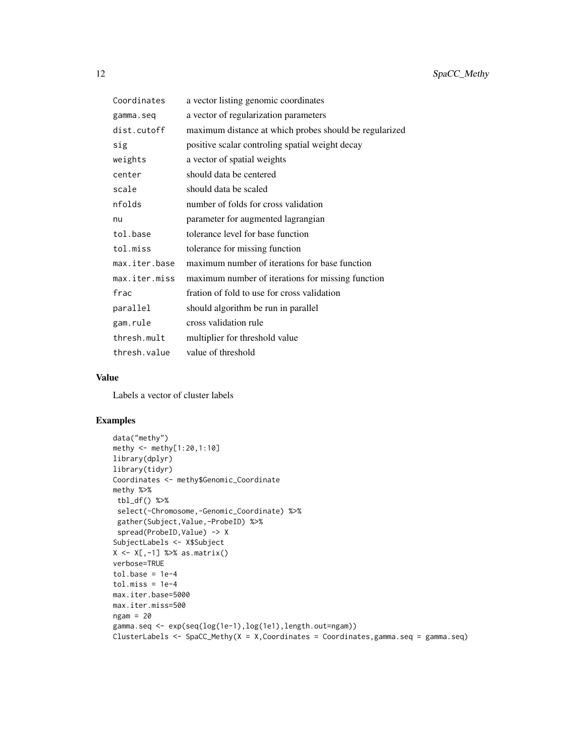| Coordinates   | a vector listing genomic coordinates                   |
|---------------|--------------------------------------------------------|
| gamma.seq     | a vector of regularization parameters                  |
| dist.cutoff   | maximum distance at which probes should be regularized |
| sig           | positive scalar controling spatial weight decay        |
| weights       | a vector of spatial weights                            |
| center        | should data be centered                                |
| scale         | should data be scaled                                  |
| nfolds        | number of folds for cross validation                   |
| nu            | parameter for augmented lagrangian                     |
| tol.base      | tolerance level for base function                      |
| tol.miss      | tolerance for missing function                         |
| max.iter.base | maximum number of iterations for base function         |
| max.iter.miss | maximum number of iterations for missing function      |
| frac          | fration of fold to use for cross validation            |
| parallel      | should algorithm be run in parallel                    |
| gam.rule      | cross validation rule                                  |
| thresh.mult   | multiplier for threshold value                         |
| thresh.value  | value of threshold                                     |

#### Value

Labels a vector of cluster labels

```
data("methy")
methy <- methy[1:20,1:10]
library(dplyr)
library(tidyr)
Coordinates <- methy$Genomic_Coordinate
methy %>%
tbl_df() %>%
select(-Chromosome,-Genomic_Coordinate) %>%
gather(Subject,Value,-ProbeID) %>%
spread(ProbeID, Value) -> X
SubjectLabels <- X$Subject
X <- X[,-1] %>% as.matrix()
verbose=TRUE
tol.\text{base} = 1e-4tol.miss = 1e-4max.iter.base=5000
max.iter.miss=500
ngam = 20gamma.seq <- exp(seq(log(1e-1),log(1e1),length.out=ngam))
ClusterLabels \leq SpaCC_Methy(X = X, Coordinates = Coordinates, gamma.seq = gamma.seq)
```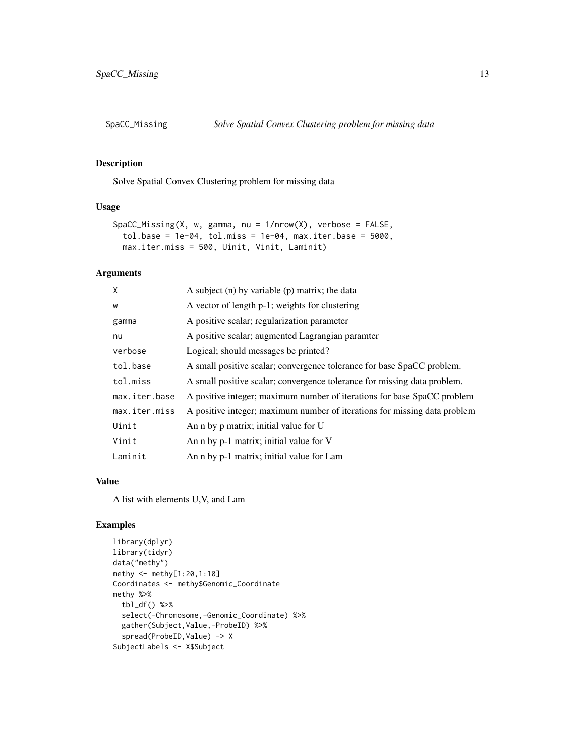<span id="page-12-0"></span>

#### Description

Solve Spatial Convex Clustering problem for missing data

#### Usage

```
SpaCC_Missing(X, w, gamma, nu = 1/nrow(X), verbose = FALSE,
  tol.\text{base} = 1e-04, tol.\text{miss} = 1e-04, max.iter.\text{base} = 5000,max.iter.miss = 500, Uinit, Vinit, Laminit)
```
#### Arguments

| X             | A subject $(n)$ by variable $(p)$ matrix; the data                        |
|---------------|---------------------------------------------------------------------------|
| W             | A vector of length p-1; weights for clustering                            |
| gamma         | A positive scalar; regularization parameter                               |
| nu            | A positive scalar; augmented Lagrangian paramter                          |
| verbose       | Logical; should messages be printed?                                      |
| tol.base      | A small positive scalar; convergence tolerance for base SpaCC problem.    |
| tol.miss      | A small positive scalar; convergence tolerance for missing data problem.  |
| max.iter.base | A positive integer; maximum number of iterations for base SpaCC problem   |
| max.iter.miss | A positive integer; maximum number of iterations for missing data problem |
| Uinit         | An n by p matrix; initial value for U                                     |
| Vinit         | An n by p-1 matrix; initial value for V                                   |
| Laminit       | An n by p-1 matrix; initial value for Lam                                 |

#### Value

A list with elements U,V, and Lam

```
library(dplyr)
library(tidyr)
data("methy")
methy <- methy[1:20,1:10]
Coordinates <- methy$Genomic_Coordinate
methy %>%
  tbl_df() %>%
  select(-Chromosome,-Genomic_Coordinate) %>%
  gather(Subject,Value,-ProbeID) %>%
  spread(ProbeID, Value) -> X
SubjectLabels <- X$Subject
```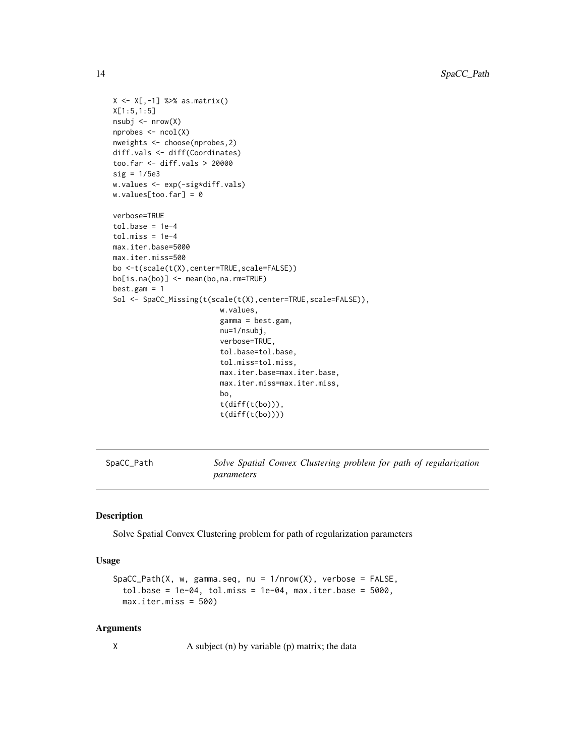```
X \leftarrow X[, -1] %>% as.matrix()
X[1:5,1:5]
nsubj <- nrow(X)
nprobes <- ncol(X)
nweights <- choose(nprobes,2)
diff.vals <- diff(Coordinates)
too.far <- diff.vals > 20000
sig = 1/5e3
w.values <- exp(-sig*diff.vals)
w.values[too.far] = 0
verbose=TRUE
tol.\nbase = 1e-4tol.miss = 1e-4max.iter.base=5000
max.iter.miss=500
bo <-t(scale(t(X),center=TRUE,scale=FALSE))
bo[is.na(bo)] <- mean(bo,na.rm=TRUE)
best.gam = 1
Sol <- SpaCC_Missing(t(scale(t(X),center=TRUE,scale=FALSE)),
                         w.values,
                          gamma = best.gam,
                         nu=1/nsubj,
                          verbose=TRUE,
                          tol.base=tol.base,
                          tol.miss=tol.miss,
                          max.iter.base=max.iter.base,
                         max.iter.miss=max.iter.miss,
                         bo,
                          t(diff(t(bo))),
                          t(diff(t(bo))))
```
SpaCC\_Path *Solve Spatial Convex Clustering problem for path of regularization parameters*

#### Description

Solve Spatial Convex Clustering problem for path of regularization parameters

#### Usage

```
SpaCC_Path(X, w, gamma.seq, nu = 1/nrow(X), verbose = FALSE,
  tol.\nbase = 1e-04, tol.\nmiss = 1e-04, max.iter.\nbase = 5000,max.iter.miss = 500)
```
#### Arguments

X A subject (n) by variable (p) matrix; the data

<span id="page-13-0"></span>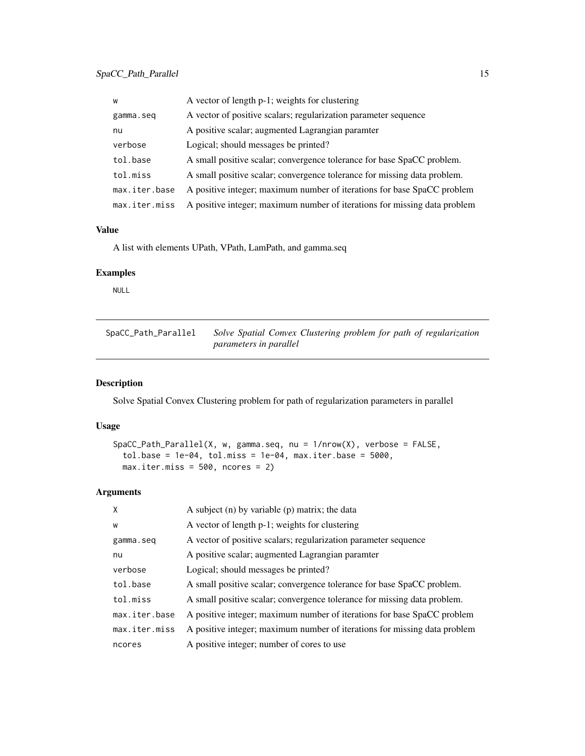<span id="page-14-0"></span>

| W             | A vector of length p-1; weights for clustering                            |
|---------------|---------------------------------------------------------------------------|
| gamma.seq     | A vector of positive scalars; regularization parameter sequence           |
| nu            | A positive scalar; augmented Lagrangian paramter                          |
| verbose       | Logical; should messages be printed?                                      |
| tol.base      | A small positive scalar; convergence tolerance for base SpaCC problem.    |
| tol.miss      | A small positive scalar; convergence tolerance for missing data problem.  |
| max.iter.base | A positive integer; maximum number of iterations for base SpaCC problem   |
| max.iter.miss | A positive integer; maximum number of iterations for missing data problem |

#### Value

A list with elements UPath, VPath, LamPath, and gamma.seq

#### Examples

NULL

| SpaCC_Path_Parallel | Solve Spatial Convex Clustering problem for path of regularization |
|---------------------|--------------------------------------------------------------------|
|                     | <i>parameters in parallel</i>                                      |

#### Description

Solve Spatial Convex Clustering problem for path of regularization parameters in parallel

#### Usage

```
SpaCC_Path_Parallel(X, w, gamma.seq, nu = 1/nrow(X), verbose = FALSE,
  tol.\text{base} = 1e-04, tol.\text{miss} = 1e-04, max.\text{iter}.\text{base} = 5000,max.iter.miss = 500, ncores = 2)
```
#### Arguments

| X             | A subject $(n)$ by variable $(p)$ matrix; the data                        |
|---------------|---------------------------------------------------------------------------|
| W             | A vector of length p-1; weights for clustering                            |
| gamma.seg     | A vector of positive scalars; regularization parameter sequence           |
| nu            | A positive scalar; augmented Lagrangian paramter                          |
| verbose       | Logical; should messages be printed?                                      |
| tol.base      | A small positive scalar; convergence tolerance for base SpaCC problem.    |
| tol.miss      | A small positive scalar; convergence tolerance for missing data problem.  |
| max.iter.base | A positive integer; maximum number of iterations for base SpaCC problem   |
| max.iter.miss | A positive integer; maximum number of iterations for missing data problem |
| ncores        | A positive integer; number of cores to use                                |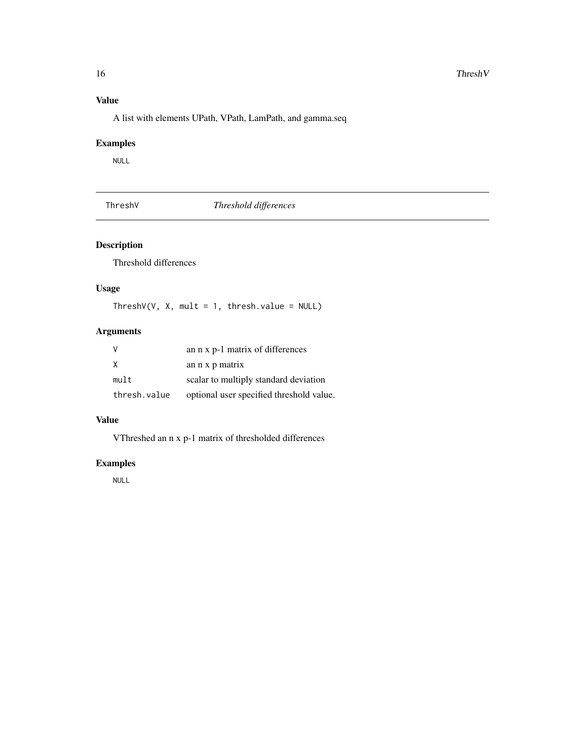#### <span id="page-15-0"></span>Value

A list with elements UPath, VPath, LamPath, and gamma.seq

#### Examples

NULL

ThreshV *Threshold differences*

#### Description

Threshold differences

#### Usage

ThreshV(V, X, mult = 1, thresh.value =  $NULL$ )

#### Arguments

| -V           | an n x p-1 matrix of differences         |
|--------------|------------------------------------------|
| X            | an n x p matrix                          |
| mult         | scalar to multiply standard deviation    |
| thresh.value | optional user specified threshold value. |

#### Value

VThreshed an n x p-1 matrix of thresholded differences

#### Examples

NULL